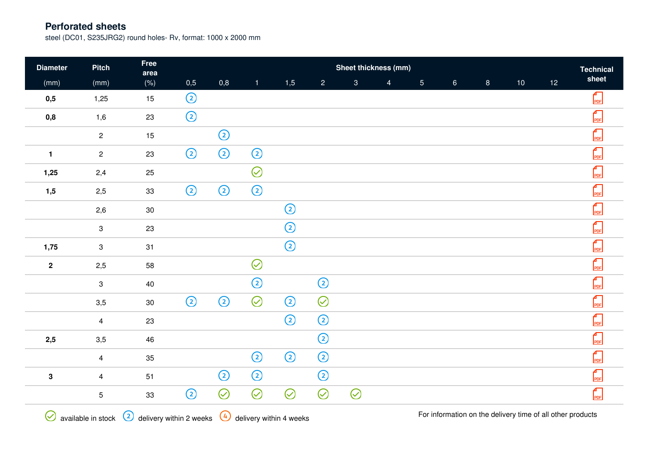steel (DC01, S235JRG2) round holes- Rv, format: 1000 x 2000 mm

| <b>Diameter</b> | <b>Pitch</b>    | Free<br>area | Sheet thickness (mm)<br><b>Technical</b> |         |              |                |                |              |                |                |                 |                |                 |                 |                                                 |
|-----------------|-----------------|--------------|------------------------------------------|---------|--------------|----------------|----------------|--------------|----------------|----------------|-----------------|----------------|-----------------|-----------------|-------------------------------------------------|
| (mm)            | (mm)            | $(\% )$      | 0,5                                      | 0,8     | $\mathbf{1}$ | 1,5            | $\overline{2}$ | $\mathbf{3}$ | $\overline{4}$ | 5 <sub>1</sub> | $6\overline{6}$ | 8 <sup>1</sup> | 10 <sub>1</sub> | 12 <sup>°</sup> | sheet                                           |
| 0,5             | 1,25            | 15           | $^{\circledR}$                           |         |              |                |                |              |                |                |                 |                |                 |                 | $\begin{bmatrix} 1 \\ \text{PDF} \end{bmatrix}$ |
| 0,8             | 1,6             | 23           | $\odot$                                  |         |              |                |                |              |                |                |                 |                |                 |                 | $\Gamma$ <sub>PDF</sub>                         |
|                 | $\overline{2}$  | 15           |                                          | $\odot$ |              |                |                |              |                |                |                 |                |                 |                 | $\begin{bmatrix} 1 \\ \text{PDF} \end{bmatrix}$ |
| $\mathbf{1}$    | $\mathbf{2}$    | 23           | $\odot$                                  | $\odot$ | $\odot$      |                |                |              |                |                |                 |                |                 |                 | $\int_{PDF}$                                    |
| 1,25            | 2,4             | 25           |                                          |         | $\odot$      |                |                |              |                |                |                 |                |                 |                 | $\begin{bmatrix} 1 \\ \text{PDF} \end{bmatrix}$ |
| 1,5             | 2,5             | $33\,$       | $\odot$                                  | $\odot$ | $\odot$      |                |                |              |                |                |                 |                |                 |                 | $\begin{bmatrix} 1 \\ \text{PDF} \end{bmatrix}$ |
|                 | 2,6             | $30\,$       |                                          |         |              | $\odot$        |                |              |                |                |                 |                |                 |                 | $\int_{PDF}$                                    |
|                 | 3               | 23           |                                          |         |              | $^{\circledR}$ |                |              |                |                |                 |                |                 |                 | $\int_{PDF}$                                    |
| 1,75            | 3               | 31           |                                          |         |              | $^{\circledR}$ |                |              |                |                |                 |                |                 |                 | $\int_{PDF}$                                    |
| $\mathbf{2}$    | 2,5             | 58           |                                          |         | $\odot$      |                |                |              |                |                |                 |                |                 |                 | $\begin{bmatrix} 1 \\ \text{PDF} \end{bmatrix}$ |
|                 | $\mathbf{3}$    | 40           |                                          |         | $\odot$      |                | $\odot$        |              |                |                |                 |                |                 |                 | $\begin{bmatrix} 1 \\ \text{PDF} \end{bmatrix}$ |
|                 | 3,5             | $30\,$       | $\odot$                                  | $\odot$ | $\odot$      | $\odot$        | $\odot$        |              |                |                |                 |                |                 |                 | $\frac{1}{\text{PDF}}$                          |
|                 | $\overline{4}$  | 23           |                                          |         |              | $\odot$        | $\odot$        |              |                |                |                 |                |                 |                 | $\frac{4}{PDF}$                                 |
| 2,5             | 3,5             | 46           |                                          |         |              |                | $\odot$        |              |                |                |                 |                |                 |                 | $\Gamma$ <sub>PDF</sub>                         |
|                 | $\overline{4}$  | 35           |                                          |         | $\odot$      | $\odot$        | $\odot$        |              |                |                |                 |                |                 |                 | $\frac{4}{PDF}$                                 |
| ${\bf 3}$       | $\overline{4}$  | 51           |                                          | $\odot$ | $\odot$      |                | $\odot$        |              |                |                |                 |                |                 |                 | $\frac{4}{PDF}$                                 |
|                 | $5\phantom{.0}$ | 33           | $^{\copyright}$                          | $\odot$ | $\odot$      | $\oslash$      | $\odot$        | $\odot$      |                |                |                 |                |                 |                 | $\Gamma$ <sub>PDF</sub>                         |
|                 |                 |              |                                          |         |              |                |                |              |                |                |                 |                |                 |                 |                                                 |

 $\bigotimes$  available in stock  $\bigcircled{2}$  delivery within 2 weeks  $\bigcircled{4}$  delivery within 4 weeks

For information on the delivery time of all other products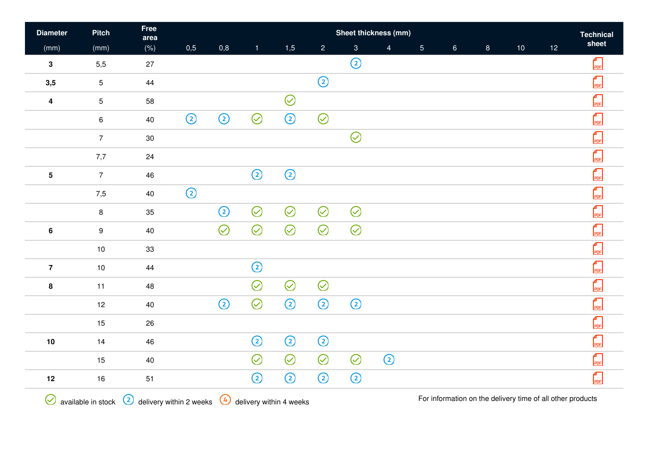| <b>Diameter</b>         | <b>Pitch</b>    | Free<br>area | Sheet thickness (mm) |         |                 |                |                |                |                |                |                |                |                 |    |                         |
|-------------------------|-----------------|--------------|----------------------|---------|-----------------|----------------|----------------|----------------|----------------|----------------|----------------|----------------|-----------------|----|-------------------------|
| (mm)                    | (mm)            | $(\% )$      | 0,5                  | 0,8     | $\mathbf{1}$    | 1,5            | $\overline{2}$ | $\overline{3}$ | $\overline{4}$ | 5 <sub>5</sub> | 6 <sup>°</sup> | 8 <sup>1</sup> | 10 <sub>1</sub> | 12 | sheet                   |
| $\mathbf{3}$            | 5,5             | 27           |                      |         |                 |                |                | $\odot$        |                |                |                |                |                 |    | $\int_{PDF}$            |
| 3,5                     | 5 <sup>5</sup>  | 44           |                      |         |                 |                | $\odot$        |                |                |                |                |                |                 |    | PDF                     |
| $\overline{\mathbf{4}}$ | $5\phantom{.0}$ | 58           |                      |         |                 | $\oslash$      |                |                |                |                |                |                |                 |    | $\Gamma$ <sub>PDF</sub> |
|                         | $6\phantom{.}$  | 40           | $\odot$              | $\odot$ | $\oslash$       | $^{\circledR}$ | $\odot$        |                |                |                |                |                |                 |    | $\Gamma$ <sub>PDF</sub> |
|                         | $\overline{7}$  | $30\,$       |                      |         |                 |                |                | $\odot$        |                |                |                |                |                 |    | $\Gamma$ <sub>PDF</sub> |
|                         | 7,7             | $24\,$       |                      |         |                 |                |                |                |                |                |                |                |                 |    | $\int_{PDF}$            |
| ${\bf 5}$               | $\overline{7}$  | 46           |                      |         | $\odot$         | $\odot$        |                |                |                |                |                |                |                 |    | $\frac{4}{PDF}$         |
|                         | 7,5             | 40           | $\odot$              |         |                 |                |                |                |                |                |                |                |                 |    | $\int_{PDF}$            |
|                         | 8               | 35           |                      | $\odot$ | $\odot$         | $\odot$        | $\odot$        | $\odot$        |                |                |                |                |                 |    | $\int_{PDF}$            |
| $\boldsymbol{6}$        | 9               | 40           |                      | $\odot$ | $\odot$         | $\odot$        | $\odot$        | $\odot$        |                |                |                |                |                 |    | $\int_{PDF}$            |
|                         | $10$            | 33           |                      |         |                 |                |                |                |                |                |                |                |                 |    | $\frac{1}{\text{PDF}}$  |
| $\overline{7}$          | 10              | 44           |                      |         | $^{\circledR}$  |                |                |                |                |                |                |                |                 |    | $\Gamma$ <sub>PDF</sub> |
| $\pmb{8}$               | 11              | 48           |                      |         | $\oslash$       | $\odot$        | $\odot$        |                |                |                |                |                |                 |    | $\frac{4}{\text{PDF}}$  |
|                         | 12              | 40           |                      | $\odot$ | $\odot$         | $\odot$        | $\odot$        | $\odot$        |                |                |                |                |                 |    | $\int_{PDF}$            |
|                         | 15              | $26\,$       |                      |         |                 |                |                |                |                |                |                |                |                 |    | $\int_{PDF}$            |
| $10$                    | 14              | 46           |                      |         | $\odot$         | $\odot$        | $\odot$        |                |                |                |                |                |                 |    | PDF                     |
|                         | 15              | 40           |                      |         | $\oslash$       | $\odot$        | $\odot$        | $\odot$        | $\odot$        |                |                |                |                 |    | $\int_{PDF}$            |
| 12                      | 16              | 51           |                      |         | $^{\copyright}$ | $\odot$        | $\odot$        | $\odot$        |                |                |                |                |                 |    | PDF                     |
|                         |                 |              |                      |         |                 |                |                |                |                |                |                |                |                 |    |                         |

 $\bigotimes$  available in stock  $\bigcircled{2}$  delivery within 2 weeks  $\bigcircled{4}$  delivery within 4 weeks

For information on the delivery time of all other products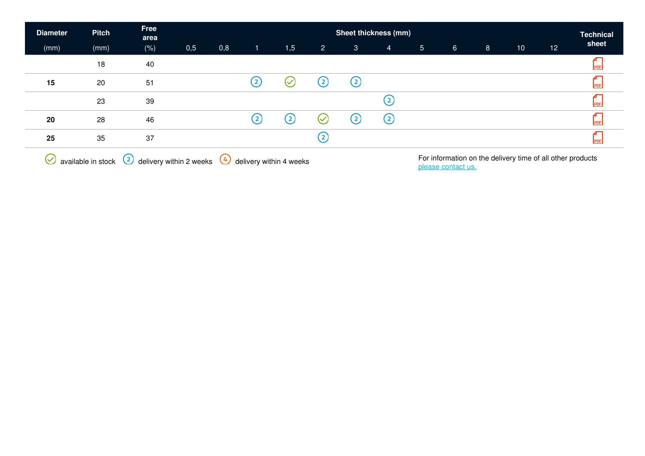| <b>Diameter</b> | <b>Pitch</b> | Free<br>area | Sheet thickness (mm)<br><b>Technical</b> |     |                   |                   |                   |                   |                   |                |                 |                |    |    |       |
|-----------------|--------------|--------------|------------------------------------------|-----|-------------------|-------------------|-------------------|-------------------|-------------------|----------------|-----------------|----------------|----|----|-------|
| (mm)            | (mm)         | $(\% )$      | 0,5                                      | 0,8 | $\mathbf{1}$      | 1,5               | $\overline{2}$    | $\mathbf{3}$      | $\overline{4}$    | 5 <sup>5</sup> | $6\phantom{.}6$ | 8 <sup>°</sup> | 10 | 12 | sheet |
|                 | 18           | 40           |                                          |     |                   |                   |                   |                   |                   |                |                 |                |    |    |       |
| 15              | 20           | 51           |                                          |     | $\left( 2\right)$ | $\rm \sim$        | $\circled{2}$     | $\circled{c}$     |                   |                |                 |                |    |    |       |
|                 | 23           | 39           |                                          |     |                   |                   |                   |                   | $\rm _{(2)}$      |                |                 |                |    |    |       |
| 20              | 28           | 46           |                                          |     | $\left( 2\right)$ | $\left( 2\right)$ | $\checkmark$      | $\left( 2\right)$ | $\left( 2\right)$ |                |                 |                |    |    |       |
| 25              | 35           | 37           |                                          |     |                   |                   | $\left( 2\right)$ |                   |                   |                |                 |                |    |    |       |
|                 |              |              |                                          |     |                   |                   |                   |                   |                   |                |                 |                |    |    |       |

 $\bigotimes$  available in stock  $\bigcircled{2}$  delivery within 2 weeks  $\bigcircled{4}$  delivery within 4 weeks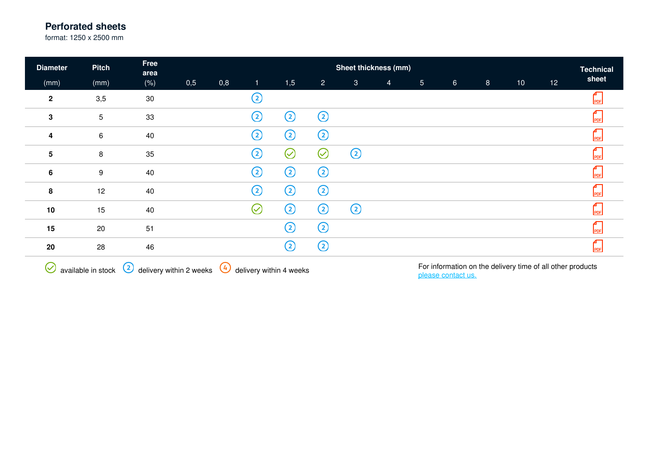format: 1250 x 2500 mm

| <b>Diameter</b>         | <b>Pitch</b>    | Free<br>area | Sheet thickness (mm) |     |                       |              |                |              |                |                 |                |                |    |    |       |
|-------------------------|-----------------|--------------|----------------------|-----|-----------------------|--------------|----------------|--------------|----------------|-----------------|----------------|----------------|----|----|-------|
| (mm)                    | (mm)            | (% )         | 0,5                  | 0,8 | $\mathbf{1}$          | 1,5          | $\overline{2}$ | $\mathbf{3}$ | $\overline{4}$ | $5\phantom{.0}$ | 6 <sup>1</sup> | 8 <sup>°</sup> | 10 | 12 | sheet |
| $\mathbf{2}$            | 3,5             | $30\,$       |                      |     | C                     |              |                |              |                |                 |                |                |    |    | PDF   |
| $\mathbf 3$             | $5\phantom{.0}$ | 33           |                      |     | ②                     | ②            | ➁              |              |                |                 |                |                |    |    | PDF   |
| 4                       | $6\phantom{.}6$ | 40           |                      |     | ②                     | ②            | ②              |              |                |                 |                |                |    |    | PDF   |
| $\overline{\mathbf{5}}$ | 8               | 35           |                      |     | ②                     | $\heartsuit$ | $\oslash$      | $\odot$      |                |                 |                |                |    |    | PDF   |
| $\boldsymbol{6}$        | 9               | 40           |                      |     | $\rm _{(2)}$          | ②            | ②              |              |                |                 |                |                |    |    | PDF   |
| 8                       | 12              | 40           |                      |     | ②                     | ②            | ➁              |              |                |                 |                |                |    |    | PDF   |
| 10                      | 15              | 40           |                      |     | $\scriptstyle\oslash$ | ②            | ②              | ➁            |                |                 |                |                |    |    | PDF   |
| 15                      | 20              | 51           |                      |     |                       | ②            | ➁              |              |                |                 |                |                |    |    | PDF   |
| 20                      | 28              | 46           |                      |     |                       | ②            | ➁              |              |                |                 |                |                |    |    | PDF   |
|                         |                 |              |                      |     |                       |              |                |              |                |                 |                |                |    |    |       |

 $\bigodot$  available in stock  $\bigodot$  delivery within 2 weeks  $\bigodot$  delivery within 4 weeks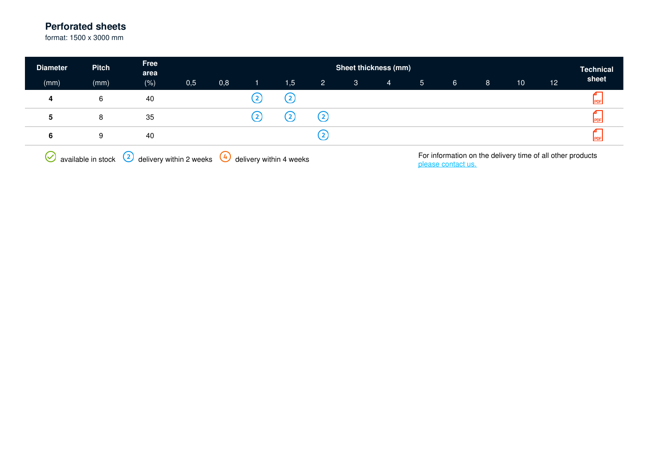format: 1500 x 3000 mm

| <b>Diameter</b> | <b>Pitch</b> | Free<br>area | <b>Sheet thickness (mm)</b><br><b>Technical</b> |          |              |                   |                |              |   |                |             |   |                                                            |    |       |
|-----------------|--------------|--------------|-------------------------------------------------|----------|--------------|-------------------|----------------|--------------|---|----------------|-------------|---|------------------------------------------------------------|----|-------|
| (mm)            | (mm)         | (% )         | 0,5                                             | 0,8      |              | 1,5               | $\overline{2}$ | $\mathbf{3}$ | 4 | 5 <sup>5</sup> | $6^{\circ}$ | 8 | 10                                                         | 12 | sheet |
| 4               | 6            | 40           |                                                 |          |              | $\left( 2\right)$ |                |              |   |                |             |   |                                                            |    |       |
| 5               | 8            | 35           |                                                 |          | $\mathbf{2}$ | $\mathbf{2}$      | (2)            |              |   |                |             |   |                                                            |    |       |
| 6               | 9            | 40           |                                                 |          |              |                   | (2)            |              |   |                |             |   |                                                            |    |       |
| 7 N             |              | $\sim$       |                                                 | $\alpha$ |              |                   |                |              |   |                |             |   | For information on the delivery time of all other products |    |       |

 $\bigotimes$  available in stock  $\bigotimes$  delivery within 2 weeks  $\bigotimes$  delivery within 4 weeks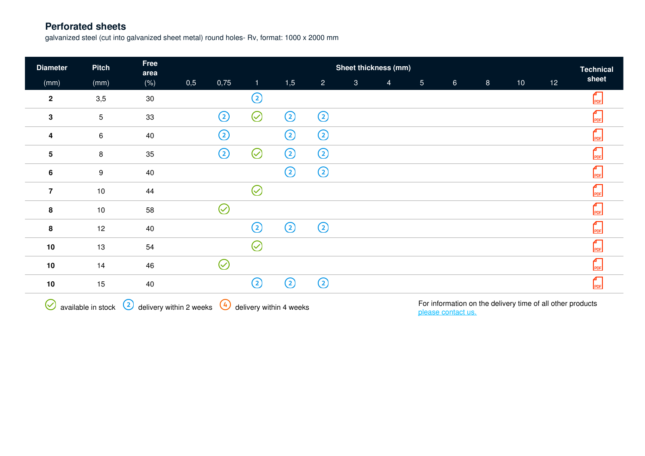galvanized steel (cut into galvanized sheet metal) round holes- Rv, format: 1000 x 2000 mm

| <b>Diameter</b> | <b>Pitch</b>    | Free<br>area                                        | Sheet thickness (mm)<br><b>Technical</b> |           |               |                                 |                |              |                |                |                                                            |          |                 |    |       |
|-----------------|-----------------|-----------------------------------------------------|------------------------------------------|-----------|---------------|---------------------------------|----------------|--------------|----------------|----------------|------------------------------------------------------------|----------|-----------------|----|-------|
| (mm)            | (mm)            | $(\% )$                                             | 0,5                                      | 0,75      | 1             | 1,5                             | $\overline{2}$ | $\mathbf{3}$ | $\overline{4}$ | 5 <sub>1</sub> | 6 <sup>1</sup>                                             | $\bf{8}$ | 10 <sub>1</sub> | 12 | sheet |
| $\mathbf{2}$    | 3,5             | 30                                                  |                                          |           | ②             |                                 |                |              |                |                |                                                            |          |                 |    | PDF   |
| 3               | $5\phantom{.0}$ | 33                                                  |                                          | ➁         | $\odot$       | $\odot$                         | $\odot$        |              |                |                |                                                            |          |                 |    | PDF   |
| 4               | 6               | 40                                                  |                                          | ➁         |               | $^{\circledR}$                  | $^{\circledR}$ |              |                |                |                                                            |          |                 |    | PDF   |
| 5               | 8               | 35                                                  |                                          | ②         | $\oslash$     | $^\copyright$                   | ➁              |              |                |                |                                                            |          |                 |    | PDF   |
| $6\phantom{1}$  | 9               | 40                                                  |                                          |           |               | $\odot$                         | $\odot$        |              |                |                |                                                            |          |                 |    | PDF   |
| $\overline{7}$  | 10              | 44                                                  |                                          |           | $\oslash$     |                                 |                |              |                |                |                                                            |          |                 |    | PDF   |
| 8               | $10$            | 58                                                  |                                          | $\oslash$ |               |                                 |                |              |                |                |                                                            |          |                 |    | PDF   |
| 8               | 12              | 40                                                  |                                          |           | ②             | ➁                               | $\odot$        |              |                |                |                                                            |          |                 |    | PDF   |
| $10$            | 13              | 54                                                  |                                          |           | ⊘             |                                 |                |              |                |                |                                                            |          |                 |    | PDF   |
| 10              | 14              | 46                                                  |                                          | $\oslash$ |               |                                 |                |              |                |                |                                                            |          |                 |    | PDF   |
| 10              | 15              | 40                                                  |                                          |           | $^\copyright$ | $\odot$                         | $^{\circledR}$ |              |                |                |                                                            |          |                 |    | PDF   |
|                 |                 | $\Omega$ with the same $\Omega$ define with a small |                                          |           |               | $\Omega$ defined within America |                |              |                |                | For information on the delivery time of all other products |          |                 |    |       |

 $\vee$  available in stock  $\vee$  delivery within 2 weeks  $\vee$  delivery within 4 weeks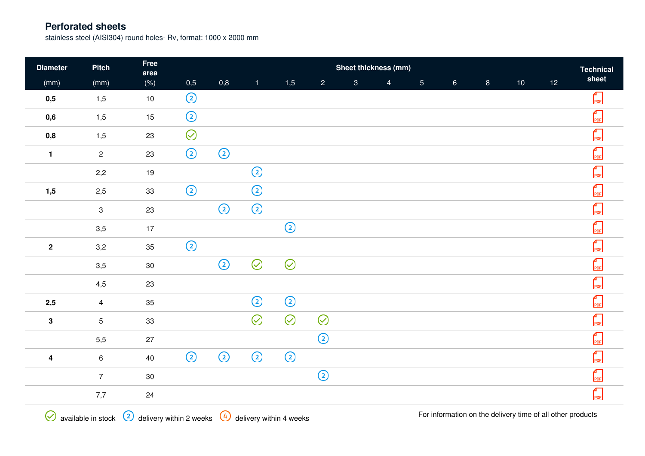stainless steel (AISI304) round holes- Rv, format: 1000 x 2000 mm

| <b>Diameter</b>         | <b>Pitch</b>   | Free<br>area |                | Sheet thickness (mm)<br><b>Technical</b> |              |         |                |                |                |                |                |                |                 |                 |                                                 |
|-------------------------|----------------|--------------|----------------|------------------------------------------|--------------|---------|----------------|----------------|----------------|----------------|----------------|----------------|-----------------|-----------------|-------------------------------------------------|
| (mm)                    | (mm)           | $(\% )$      | 0,5            | 0,8                                      | $\mathbf{1}$ | 1,5     | $\overline{2}$ | $\overline{3}$ | $\overline{4}$ | 5 <sub>5</sub> | 6 <sup>1</sup> | 8 <sup>°</sup> | 10 <sup>°</sup> | 12 <sup>°</sup> | sheet                                           |
| 0,5                     | 1,5            | $10$         | $^{\circledR}$ |                                          |              |         |                |                |                |                |                |                |                 |                 | $\begin{bmatrix} 1 \\ \text{PDF} \end{bmatrix}$ |
| 0,6                     | 1,5            | 15           | $\odot$        |                                          |              |         |                |                |                |                |                |                |                 |                 | $\begin{bmatrix} 1 \\ \text{PDF} \end{bmatrix}$ |
| 0,8                     | 1,5            | 23           | $\odot$        |                                          |              |         |                |                |                |                |                |                |                 |                 | $\begin{bmatrix} 1 \\ \text{PDF} \end{bmatrix}$ |
| $\mathbf{1}$            | $\overline{2}$ | 23           | $\odot$        | $\odot$                                  |              |         |                |                |                |                |                |                |                 |                 | $\frac{4}{PDF}$                                 |
|                         | 2,2            | 19           |                |                                          | $\odot$      |         |                |                |                |                |                |                |                 |                 | $\int_{PDF}$                                    |
| 1,5                     | 2,5            | 33           | $\odot$        |                                          | $\odot$      |         |                |                |                |                |                |                |                 |                 | $\int_{PDF}$                                    |
|                         | $\mathbf{3}$   | 23           |                | $\odot$                                  | $\odot$      |         |                |                |                |                |                |                |                 |                 | $\Gamma$ <sub>PDF</sub>                         |
|                         | $3,5$          | 17           |                |                                          |              | $\odot$ |                |                |                |                |                |                |                 |                 | $\int_{PDF}$                                    |
| $\boldsymbol{2}$        | 3,2            | $35\,$       | $\odot$        |                                          |              |         |                |                |                |                |                |                |                 |                 | $\Gamma$ <sub>PDF</sub>                         |
|                         | 3,5            | $30\,$       |                | $\odot$                                  | $\odot$      | $\odot$ |                |                |                |                |                |                |                 |                 | $\int_{PDF}$                                    |
|                         | 4,5            | 23           |                |                                          |              |         |                |                |                |                |                |                |                 |                 | $\Gamma$ <sub>PDF</sub>                         |
| 2,5                     | $\overline{4}$ | 35           |                |                                          | $\odot$      | $\odot$ |                |                |                |                |                |                |                 |                 | $\frac{4}{PDF}$                                 |
| $\mathbf 3$             | 5 <sup>5</sup> | 33           |                |                                          | $\oslash$    | $\odot$ | $\odot$        |                |                |                |                |                |                 |                 | $\Gamma$ <sub>PDF</sub>                         |
|                         | 5,5            | 27           |                |                                          |              |         | $\odot$        |                |                |                |                |                |                 |                 | $\Gamma$ <sub>PDF</sub>                         |
| $\overline{\mathbf{4}}$ | $\,6\,$        | 40           | $\odot$        | $\odot$                                  | $\odot$      | $\odot$ |                |                |                |                |                |                |                 |                 | $\Gamma$ <sub>PDF</sub>                         |
|                         | $\overline{7}$ | $30\,$       |                |                                          |              |         | $\odot$        |                |                |                |                |                |                 |                 | $\begin{bmatrix} 1 \\ \text{PDF} \end{bmatrix}$ |
|                         | 7,7            | 24           |                |                                          |              |         |                |                |                |                |                |                |                 |                 | $\Gamma$ <sub>PDF</sub>                         |
|                         |                |              |                |                                          |              |         |                |                |                |                |                |                |                 |                 |                                                 |

For information on the delivery time of all other products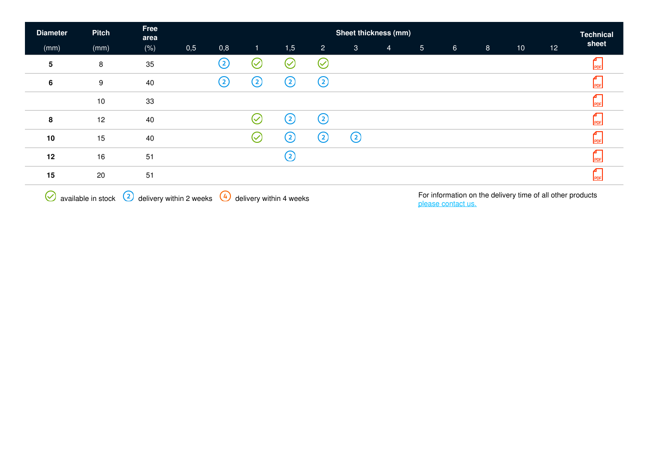| <b>Diameter</b>         | <b>Pitch</b> | Free<br>area | Sheet thickness (mm)<br><b>Technical</b> |        |                |                              |                 |              |                |                |                |                |      |    |                             |
|-------------------------|--------------|--------------|------------------------------------------|--------|----------------|------------------------------|-----------------|--------------|----------------|----------------|----------------|----------------|------|----|-----------------------------|
| (mm)                    | (mm)         | $(\% )$      | 0,5                                      | 0,8    | $\mathbf{1}$   | 1,5                          | $\overline{2}$  | $\mathbf{3}$ | $\overline{4}$ | 5 <sub>5</sub> | 6 <sup>°</sup> | 8 <sup>°</sup> | $10$ | 12 | sheet                       |
| $\overline{\mathbf{5}}$ | 8            | 35           |                                          | ②      | ∝              | $\left(\!\rightthreetimes\!$ | $\oslash$       |              |                |                |                |                |      |    |                             |
| $6\phantom{1}$          | 9            | 40           |                                          | ②      | ②              | $\rm _{(2)}$                 | $^{\copyright}$ |              |                |                |                |                |      |    | PDF                         |
|                         | 10           | 33           |                                          |        |                |                              |                 |              |                |                |                |                |      |    | PDF                         |
| 8                       | 12           | 40           |                                          |        | $(\checkmark)$ | $\rm _{(2)}$                 | $\odot$         |              |                |                |                |                |      |    | PDF                         |
| 10                      | 15           | 40           |                                          |        | $\heartsuit$   | $\circled{c}$                | ②               | ②            |                |                |                |                |      |    | PDF                         |
| 12                      | 16           | 51           |                                          |        |                | ➁                            |                 |              |                |                |                |                |      |    | PDF                         |
| 15                      | 20           | 51           |                                          |        |                |                              |                 |              |                |                |                |                |      |    | PDF                         |
| $\sim$                  |              | $\sim$       |                                          | $\sim$ |                |                              |                 |              |                |                |                |                |      |    | $\sim$ $\sim$ $\sim$ $\sim$ |

 $\bigotimes$  available in stock  $\bigcirc$  delivery within 2 weeks  $\bigcirc$  delivery within 4 weeks